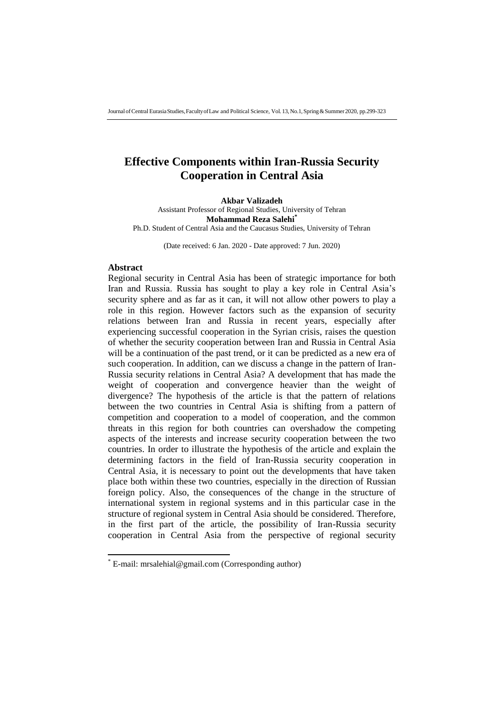# **Effective Components within Iran-Russia Security Cooperation in Central Asia**

**Akbar Valizadeh** Assistant Professor of Regional Studies, University of Tehran **Mohammad Reza Salehi\*** Ph.D. Student of Central Asia and the Caucasus Studies, University of Tehran

(Date received: 6 Jan. 2020 - Date approved: 7 Jun. 2020)

#### **Abstract**

1

Regional security in Central Asia has been of strategic importance for both Iran and Russia. Russia has sought to play a key role in Central Asia's security sphere and as far as it can, it will not allow other powers to play a role in this region. However factors such as the expansion of security relations between Iran and Russia in recent years, especially after experiencing successful cooperation in the Syrian crisis, raises the question of whether the security cooperation between Iran and Russia in Central Asia will be a continuation of the past trend, or it can be predicted as a new era of such cooperation. In addition, can we discuss a change in the pattern of Iran-Russia security relations in Central Asia? A development that has made the weight of cooperation and convergence heavier than the weight of divergence? The hypothesis of the article is that the pattern of relations between the two countries in Central Asia is shifting from a pattern of competition and cooperation to a model of cooperation, and the common threats in this region for both countries can overshadow the competing aspects of the interests and increase security cooperation between the two countries. In order to illustrate the hypothesis of the article and explain the determining factors in the field of Iran-Russia security cooperation in Central Asia, it is necessary to point out the developments that have taken place both within these two countries, especially in the direction of Russian foreign policy. Also, the consequences of the change in the structure of international system in regional systems and in this particular case in the structure of regional system in Central Asia should be considered. Therefore, in the first part of the article, the possibility of Iran-Russia security cooperation in Central Asia from the perspective of regional security

<sup>\*</sup> E-mail: mrsalehial@gmail.com (Corresponding author)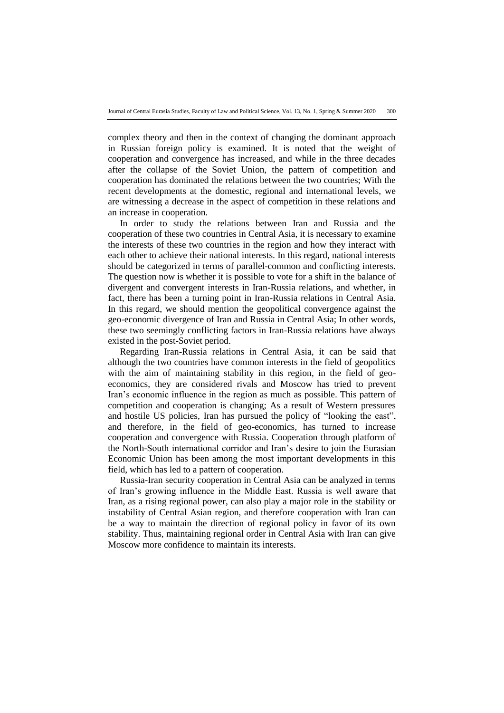complex theory and then in the context of changing the dominant approach in Russian foreign policy is examined. It is noted that the weight of cooperation and convergence has increased, and while in the three decades after the collapse of the Soviet Union, the pattern of competition and cooperation has dominated the relations between the two countries; With the recent developments at the domestic, regional and international levels, we are witnessing a decrease in the aspect of competition in these relations and an increase in cooperation.

In order to study the relations between Iran and Russia and the cooperation of these two countries in Central Asia, it is necessary to examine the interests of these two countries in the region and how they interact with each other to achieve their national interests. In this regard, national interests should be categorized in terms of parallel-common and conflicting interests. The question now is whether it is possible to vote for a shift in the balance of divergent and convergent interests in Iran-Russia relations, and whether, in fact, there has been a turning point in Iran-Russia relations in Central Asia. In this regard, we should mention the geopolitical convergence against the geo-economic divergence of Iran and Russia in Central Asia; In other words, these two seemingly conflicting factors in Iran-Russia relations have always existed in the post-Soviet period.

Regarding Iran-Russia relations in Central Asia, it can be said that although the two countries have common interests in the field of geopolitics with the aim of maintaining stability in this region, in the field of geoeconomics, they are considered rivals and Moscow has tried to prevent Iran's economic influence in the region as much as possible. This pattern of competition and cooperation is changing; As a result of Western pressures and hostile US policies, Iran has pursued the policy of "looking the east", and therefore, in the field of geo-economics, has turned to increase cooperation and convergence with Russia. Cooperation through platform of the North-South international corridor and Iran's desire to join the Eurasian Economic Union has been among the most important developments in this field, which has led to a pattern of cooperation.

Russia-Iran security cooperation in Central Asia can be analyzed in terms of Iran's growing influence in the Middle East. Russia is well aware that Iran, as a rising regional power, can also play a major role in the stability or instability of Central Asian region, and therefore cooperation with Iran can be a way to maintain the direction of regional policy in favor of its own stability. Thus, maintaining regional order in Central Asia with Iran can give Moscow more confidence to maintain its interests.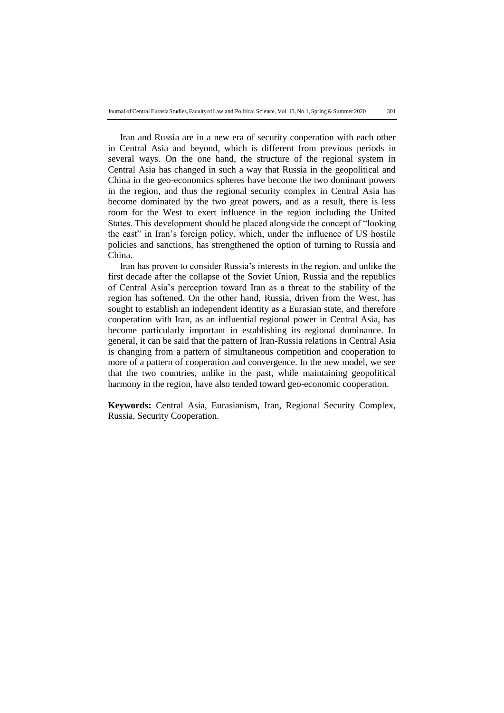Iran and Russia are in a new era of security cooperation with each other in Central Asia and beyond, which is different from previous periods in several ways. On the one hand, the structure of the regional system in Central Asia has changed in such a way that Russia in the geopolitical and China in the geo-economics spheres have become the two dominant powers in the region, and thus the regional security complex in Central Asia has become dominated by the two great powers, and as a result, there is less room for the West to exert influence in the region including the United States. This development should be placed alongside the concept of "looking the east" in Iran's foreign policy, which, under the influence of US hostile policies and sanctions, has strengthened the option of turning to Russia and China.

Iran has proven to consider Russia's interests in the region, and unlike the first decade after the collapse of the Soviet Union, Russia and the republics of Central Asia's perception toward Iran as a threat to the stability of the region has softened. On the other hand, Russia, driven from the West, has sought to establish an independent identity as a Eurasian state, and therefore cooperation with Iran, as an influential regional power in Central Asia, has become particularly important in establishing its regional dominance. In general, it can be said that the pattern of Iran-Russia relations in Central Asia is changing from a pattern of simultaneous competition and cooperation to more of a pattern of cooperation and convergence. In the new model, we see that the two countries, unlike in the past, while maintaining geopolitical harmony in the region, have also tended toward geo-economic cooperation.

**Keywords:** Central Asia, Eurasianism, Iran, Regional Security Complex, Russia, Security Cooperation.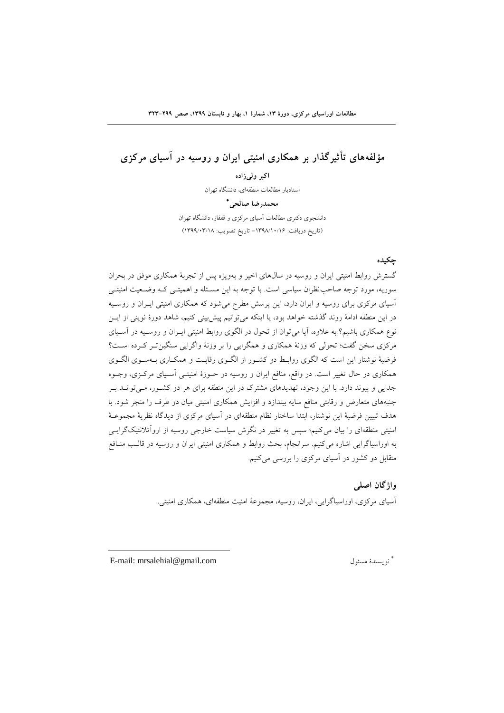# **مؤلفههاي تأثيرگذار بر همکاري امنيتی ایران و روسيه در آسياي مركزي**

**اكبر ولیزاده** استادیار مطالعات منطقهای، دانشگاه تهران **محمدرضا صالحی** دانشجوی دکتری مطالعات آسیای مرکزی و قفقاز، دانشگاه تهران )تاریخ دریافت: -6931/61/61 تاریخ تصویب: 6933/19/61(

## **چکيده**

گسترش روابط امنیتی ایران و روسیه در سالهای اخیر و بهویژه پس از تجربۀ همکاری موفق در بحران سوریه، مورد توجه صاحب نظران سیاسی است. با توجه به این مسئله و اهمیتـی کـه وضـعیت امنیتـی آسیای مرکزی برای روسیه و ایران دارد، این پرسش مطرح میشود که همکاری امنیتی ایئران و روسئیه در این منطقه ادامۀ روند گذشته خواهد بود، یا اینکه میتوانیم پیشبینی کنیم، شاهد دورۀ نوینی از ایئن نوع همکاری باشیم؟ به عالوه، آیا میتوان از تحول در الگوی روابط امنیتی ایئران و روسئیه در آسئیای مرکزی سخن گفت؛ تحولی که وزنۀ همکاری و همگرایی را بر وزنۀ واگرایی سنگینتئر کئرده اسئت؟ فرضیۀ نوشتار این است که الگوی روابط دو کشـور از الگـوی رقابـت و همکـاری بـهسـوی الگـوی همکاری در حال تغییر است. در واقع، منافع ایران و روسیه در حئوزۀ امنیتئی آسئیای مرکئزی، وجئوه جدایی و پیوند دارد. با این وجود، تهدیدهای مشترك در این منطقه برای هر دو کشئور، مئی توانئد بئر جنبههای متعارض و رقابتی منافع سایه بیندازد و افزایش همکاری امنیتی میان دو طرف را منجر شود. با هدف تبیین فرضیۀ این نوشتار، ابتدا ساختار نظام منطقهای در آسیای مرکزی از دیدگاه نظریۀ مجموعـۀ امنیتی منطقهای را بیان میکنیم؛ سپس به تغییر در نگرش سیاست خارجی روسیه از اروآتالنتیکگرایئی به اوراسیاگرایی اشاره میکنیم. سرانجام، بحث روابط و همکاری امنیتی ایران و روسیه در قالئب منئافع متقابل دو کشور در آسیای مرکزی را بررسی میکنیم.

## **واژگان اصلی**

آسیای مرکزی، اوراسیاگرایی، ایران، روسیه، مجموعۀ امنیت منطقهای، همکاری امنیتی.

E-mail: mrsalehial@gmail.com مسلول نویسندۀ

1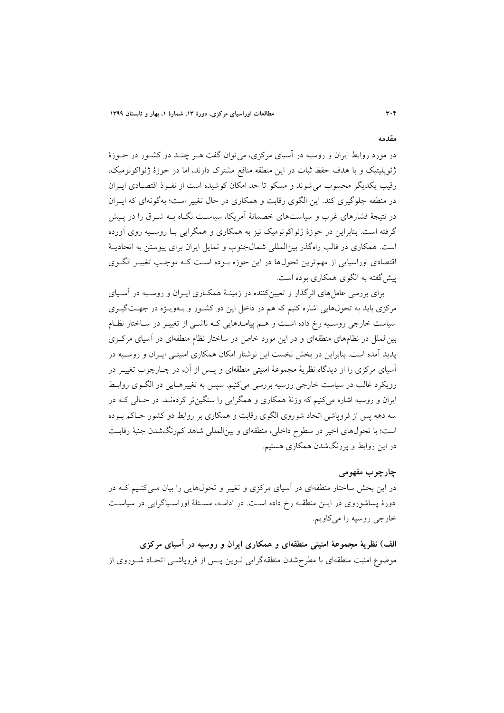**مقدمه**

در مورد روابط ایران و روسیه در آسیای مرکزی، می توان گفت هـر چنـد دو کشـور در حـوزۀ ژئوپهیتیک و با هدف حفظ ثبات در این منطقه منافع مشترك دارند، اما در حوزۀ ژئواکونومیک، رقیب یکدیگر محسوب میشوند و مسکو تا حد امکان کوشیده است از نفئو اقتصئادی ایئران در منطقه جهوگیری کند. این الگوی رقابت و همکاری در حال تغییر است؛ بهگونهای که ایئران در نتیجۀ فشارهای غرب و سیاستهای خصمانۀ آمریکا، سیاسئت نگئاه بئه شئر را در پئیش گرفته است. بنابراین در حوزۀ ژئواکونومیک نیز به همکاری و همگرایی بئا روسئیه روی آورده است. همکاری در قالب راهگذر بین|لمللی شمالجنوب و تمایل ایران برای پیوستن به اتحادیـهٔ اقتصادی اوراسیایی از مهمترین تحولها در این حوزه بئوده اسئت کئه موجئب تغییئر الگئوی پیشگفته به الگوی همکاری بوده است.

برای بررسی عاملهای اثرگذار و تعیینکننده در زمینئۀ همکئاری ایئران و روسئیه در آسئیای مرکزی باید به تحولهایی اشاره کنیم که هم در داخل این دو کشئور و بئه ویئژه در جهئت گیئری سیاست خارجی روسـیه رخ داده اسـت و هــم پیامــدهایی کــه ناشــی از تغییــر در ســاختار نظــام بینالمهل در نظامهای منطقهای و در این مورد خاص در ساختار نظام منطقهای در آسیای مرکئزی پدید آمده است. بنابراین در بخش نخست این نوشتار امکان همکاری امنیتئی ایئران و روسئیه در آسیای مرکزی را از دیدگاه نظریۀ مجموعۀ امنیتی منطقهای و پئس از آن، در نئارنوب تغییئر در رویکرد غالب در سیاست خارجی روسیه بررسی میکنیم. سپس به تغییرهئایی در الگئو ی روابئط ایران و روسیه اشاره میکنیم که وزنۀ همکاری و همگرایی را سنگینتر کردهنئد. در حئال ی کئه در سه دهه پس از فروپاشی اتحاد شوروی الگوی رقابت و همکاری بر روابط دو کشور حئاکم بئوده است؛ با تحولهای اخیر در سطوح داخهی، منطقهای و بینالمههی شاهد کمرنگشدن جنبۀ رقابئت در این روابط و پررنگشدن همکاری هستیم.

**چارچوب مفهومی**

در این بخش ساختار منطقهای در آسیای مرکزی و تغییر و تحولهایی را بیان مئی کنئیم کئه در دورۀ پساشوروی در ایـن منطقــه رخ داده اسـت. در ادامــه، مسـئلۀ اوراسـياگرايی در سياسـت خارجی روسیه را میکاویم.

**الف( نظریۀ مجموعۀ امنيتی منطقهاي و همکاري ایران و روسيه در آسياي مركزي** موضوع امنیت منطقهای با مطرحشدن منطقهگرایی نـوین پـس از فروپاشـی اتحـاد شـوروی از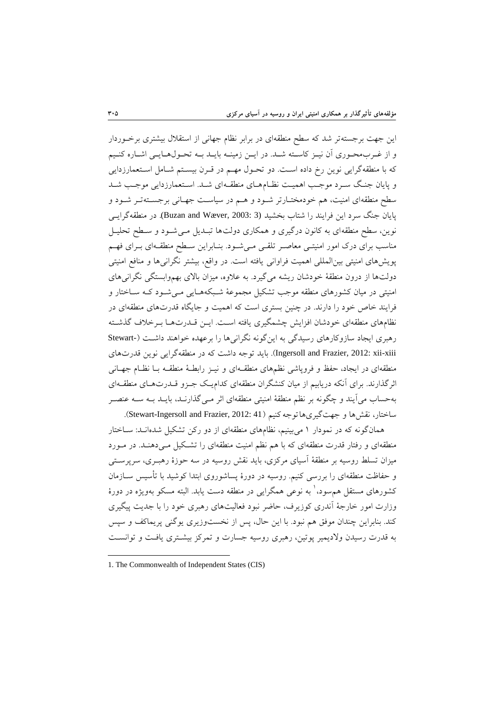این جهت برجستهتر شد که سطح منطقهای در برابر نظام جهانی از استقالل بیشتری برخئوردار و از غـربمحـوری آن نیـز کاسـته شـد. در ایـن زمینـه بایـد بـه تحـولهـایـی اشـاره کنـیم که با منطقهگرایی نوین رخ داده است. دو تحـول مهـم در قـرن بیسـتم شـامل اسـتعمارزدایی و پایان جنگ سـرد موجـب اهمیـت نظـامهـای منطقـهای شـد. اسـتعمارزدایی موجـب شـد سطح منطقهای امنیت، هم خودمختئارتر شئود و هئم در سیاسئت جهئانی برجسئته تئر شئود و پایان جنگ سرد این فرایند را شتاب بخشید (3 :Buzan and Wæver, 2003). در منطقهگرایسی نوین، سطح منطقهای به کانون درگیری و همکاری دولتها تبـدیل مـیشـود و سـطح تحلیـل مناسب برای درک امور امنیتسی معاصـر تلقـی مـیشـود. بنـابراین سـطح منطقـهای بـرای فهـم پویشهای امنیتی بین|لمللی اهمیت فراوانی یافته است. در واقع، بیشتر نگرانیها و منافع امنیتی دولتها از درون منطقۀ خودشان ریشه میگیرد. به عالوه، میزان باالی بهموابستگی نگرانیهای امنیتی در میان کشورهای منطقه موجب تشکیل مجموعۀ شئبکه هئایی مئی شئود کئه سئاختار و فرایند خاص خود را دارند. در ننین بستری است که اهمیت و جایگاه قدرتهای منطقهای در نظامهای منطقهای خودشان افزایش چشمگیری یافته است. ایـن قـدرتهـا بـرخلاف گذشـته رهبری ایجاد سازوکارهای رسیدگی به اینگونه نگرانیها را برعهده خواهند داشئ ت )-Stewart Ingersoll and Frazier, 2012: xii-xiii). باید توجه داشت که در منطقهگرایی نوین قدرتهای منطقهای در ایجاد، حفظ و فروپاشی نظمهای منطقئه ای و نیئز رابطئۀ منطقئه بئا نظئام جهئانی اثرگذارند. برای آنکه دریابیم از میان کنشگران منطقهای کدامیئک جئزو قئدرت هئای منطقئه ای بهحساب میآیند و نگونه بر نظم منطقۀ امنیتی منطقهای اثر مئی گذارنئد، بایئد بئه سئه عنصئر ساختار، نقشها و جهتگیریهاتوجهکنیم (Stewart-Ingersoll and Frazier, 2012: 41).

همانگونه که در نمودار 6 میبینیم، نظامهای منطقهای از دو رکن تشکیل شدهانئد: سئاختار منطقهای و رفتار قدرت منطقهای که با هم نظم امنیت منطقهای را تشکیل می دهنـد. در مـورد میزان تسلط روسیه بر منطقۀ آسیای مرکزی، باید نقش روسیه در سه حوزۀ رهبـری، سرپرسـتی و حفاظت منطقهای را بررسی کنیم. روسیه در دورۀ پساشوروی ابتدا کوشید با تأسیس سئازمان کشورهای مستقل هم سود، ٰ به نوعی همگرایی در منطقه دست یابد. البته مسکو بهویژه در دورۀ وزارت امور خارجۀ آندری کوزیرف، حاتر نبود فعالیتهای رهبری خود را با جدیت پیگیری کند. بنابراین چندان موفق هم نبود. با این حال، پس از نخستوزیری یوگنی پریماکف و سپس به قدرت رسیدن والدیمیر پوتین، رهبری روسیه جسارت و تمرکز بیشئتری یافئت و توانسئت

-

<sup>1.</sup> The Commonwealth of Independent States (CIS)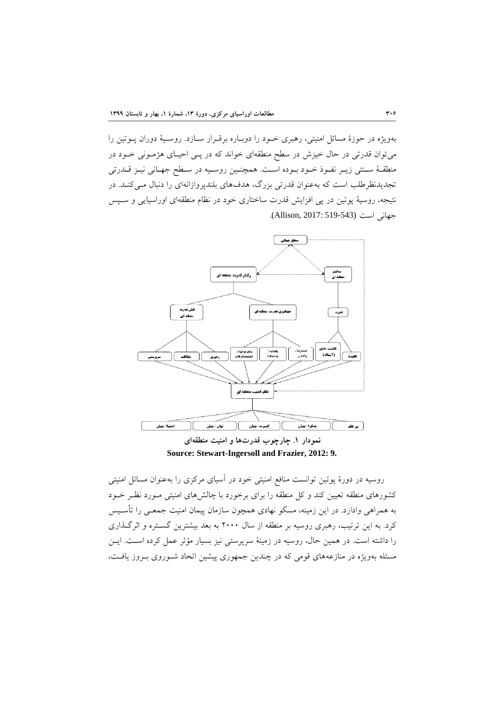بهویژه در حوزۀ مسائل امنیتی، رهبری خئود را دوبئاره برقئرار سئا زد. روسئیۀ دوران پئوتین را میتوان قدرتی در حال خیزش در سطح منطقهای خواند که در پئی احیئای هژمئونی خئود در منطقـهٔ سـنتی زیـر نفـوذ خـود بـوده اسـت. همچنـین روسـیه در سـطح جهـانی نیـز قــدرتی تجدیدنظرطلب است که بهعنوان قدرتی بزرگ، هدفهای بلندپروازانهای را دنبال می کنـد. در نتیجه، روسیۀ پوتین در پی افزایش قدرت ساختاری خود در نظام منطقهای اوراسیایی و سئپس جهانی است (Allison, 2017: 519-543).



**Source: Stewart-Ingersoll and Frazier, 2012: 9.**

روسیه در دورۀ پوتین توانست منافع امنیتی خود در آسیای مرکزی را بهعنوان مسائل امنیتی کشورهای منطقه تعیین کند و کل منطقه را برای برخورد با چالشهای امنیتی مـورد نظـر خــود به همراهی وادارد. در این زمینه، مسکو نهادی همرون سازمان پیمان امنیت جمعئی را تأسئیس کرد. به این ترتیب، رهبری روسیه بر منطقه از سال 0111 به بعد بیشترین گسئتره و اثرگئذاری را داشته است. در همین حال، روسیه در زمینۀ سرپرستی نیز بسیار مؤثر عمل کرده اسئت. ایئن مسئله بهویژه در منازعههای قومی که در چندین جمهوری پیشین اتحاد شـوروی بـروز یافـت،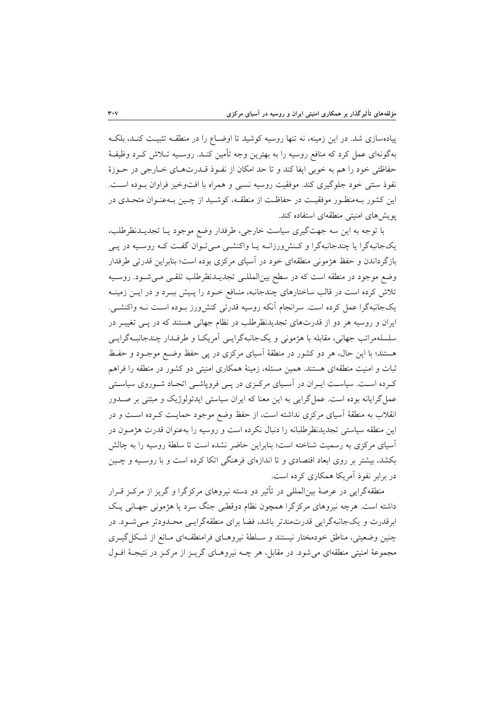پیادهسازی شد. در این زمینه، نه تنها روسیه کوشید تا اوضـاع را در منطقــه تثبیـت کنــد، بلکــه بهگونهای عمل کرد که منافع روسیه را به بهترین وجه تأمین کنئد. روسئیه تئالش کئرد وظیفئۀ حفاظتی خود را هم به خوبی ایفا کند و تا حد امکان از نفئو قئدرت هئای خئارجی در حئوزۀ نفوذ سنتی خود جلوگیری کند. موفقیت روسیه نسبی و همراه با افتوخیز فراوان بـوده اسـت. این کشور بئه منظئور موفقیئت در حفاظئت از منطقئه، کوشئید از نئین بئه عنئوان متحئدی در پویشهای امنیتی منطقهای استفاده کند.

با توجه به این سه جهتگیری سیاست خارجی، طرفدار وضع موجود یــا تجدیــدنظرطلب، یکجانبهگرا یا چندجانبهگرا و کنش ورزانـه یـا واکنشـی مـیتوان گفـت کـه روسـیه در پـی بازگرداندن و حفظ هژمونی منطقهای خود در آسیای مرکزی بوده است؛ بنابراین قدرتی طرفدار وضع موجود در منطقه است که در سطح بین المللـی تجدیــدنظرطلب تلقــی مــیشــود. روســیه تلاش کرده است در قالب ساختارهای چندجانبه، منـافع خـود را پـیش ببـرد و در ایــن زمینــه یکجانبهگرا عمل کرده است. سرانجام آنکه روسیه قدرتی کنشورز بئوده اسئت نئه واکنشئی. ایران و روسیه هر دو از قدرتهای تجدیدنظرطهب در نظام جهانی هستند که در پئی تغییئر در سهسههمراتب جهانی، مقابهه با هژمونی و یکجانبهگرایئی آمریکئا و طرفئدار نندجانبئه گرایئی هستند؛ با این حال، هر دو کشور در منطقۀ آسیای مرکزی در پی حفظ وتئع موجئود و حفئظ ثبات و امنیت منطقهای هستند. همین مسلهه، زمینۀ همکاری امنیتی دو کشور در منطقه را فراهم کرده است. سیاست ایـران در آسـیای مرکـزی در پـی فروپاشـی اتحـاد شـوروی سیاسـتی عملگرایانه بوده است. عملگرایی به این معنا که ایران سیاستی ایدئولوژیک و مبتنی بر صئدور انقالب به منطقۀ آسیای مرکزی نداشته است، از حفظ وتع موجود حمایئت کئرده اسئت و در این منطقه سیاستی تجدیدنظرطهبانه را دنبال نکرده است و روسیه را بهعنوان قدرت هژمئون در آسیای مرکزی به رسمیت شناخته است؛ بنابراین حاضر نشده است تا سلطۀ روسیه را به چالش بکشد، بیشتر بر روی ابعاد اقتصادی و تا اندازهای فرهنگی اتکا کرده است و با روسئیه و نئین در برابر نفو آمریکا همکاری کرده است.

منطقهگرایی در عرصۀ بین|لمللی در تأثیر دو دسته نیروهای مرکزگرا و گریز از مرکـز قـرار داشته است. هرچه نیروهای مرکزگرا همچون نظام دوقطبی جنگ سرد یا هژمونی جهـانی یـک ابرقدرت و یکجانبهگرایی قدرتمندتر باشد، فضا برای منطقهگرایئی محئدودتر مئی شئود. در چنین وضعیتی، مناطق خودمختار نیستند و سلطۀ نیروهای فرامنطقهای مـانع از شـكل گیـری مجموعۀ امنیتی منطقهای میشود. در مقابل، هر نئه نیروهئای گریئز از مرکئز در نتیجئۀ افئول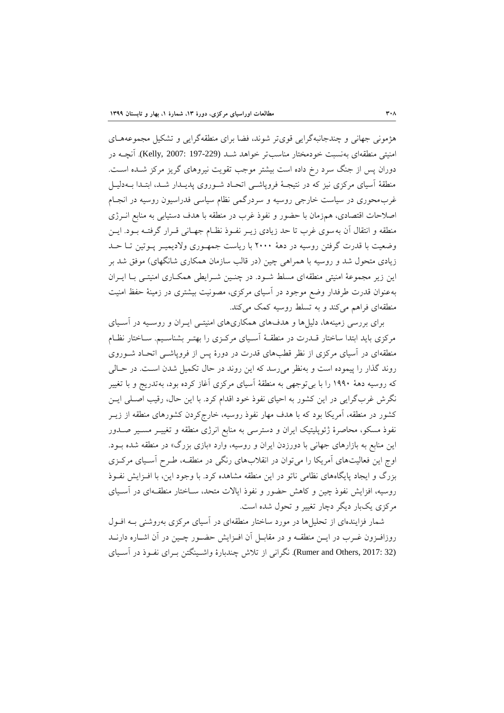هژمونی جهانی و نندجانبهگرایی قویتر شوند، فضا برای منطقهگرایی و تشکیل مجموعههئای امنیتی منطقهای بهنسبت خودمختار مناسبتر خواهد شبد (197-229 :Kelly, 2007: 197). آنچیه در دوران پس از جنگ سرد رخ داده است بیشتر موجب تقویت نیروهای گریز مرکز شـده اسـت. منطقۀ آسیای مرکزی نیز که در نتیجئۀ فروپاشئی اتحئاد شئوروی پدیئدار شئد، ابتئدا بئه دلیئل غربمحوری در سیاست خارجی روسیه و سردرگمی نظام سیاسی فدراسیون روسیه در انجئام اصلاحات اقتصادی، همزمان با حضور و نفوذ غرب در منطقه با هدف دستیابی به منابع انـرژی منطقه و انتقال آن بهسوی غرب تا حد زیادی زیـر نفـوذ نظـام جهـانی قـرار گرفتـه بـود. ایــن وتعیت با قدرت گرفتن روسیه در دهۀ 0111 با ریاست جمهئوری والدیمیئر پئوتین تئا حئد زیادی متحول شد و روسیه با همراهی چین (در قالب سازمان همکاری شانگهای) موفق شد بر این زیر مجموعۀ امنیتی منطقهای مسلط شــود. در چنــین شــرایطی همکــاری امنیتــی بــا ایــران بهعنوان قدرت طرفدار وتع موجود در آسیای مرکزی، مصونیت بیشتری در زمینۀ حفظ امنیت منطقهای فراهم میکند و به تسهط روسیه کمک میکند.

برای بررسی زمینهها، دلیلها و هدفهای همکاریهای امنیتئی ایئران و روسئیه در آسئیای مرکزی باید ابتدا ساختار قــدرت در منطقــهٔ آســیای مرکــزی را بهتــر بشناســیم. ســاختار نظــام منطقهای در آسیای مرکزی از نظر قطبهای قدرت در دورۀ پس از فروپاشئی اتحئاد شئوروی روند گذار را پیموده است و بهنظر میرسد که این روند در حال تکمیل شدن اسئت. در حئالی که روسیه دهۀ 6331 را با بیتوجهی به منطقۀ آسیای مرکزی آغاز کرده بود، بهتدریج و با تغییر نگرش غربگرایی در این کشور به احیای نفو خود اقدام کرد. با این حال، رقیب اصئهی ایئن کشور در منطقه، آمریکا بود که با هدف مهار نفوذ روسیه، خارجکردن کشورهای منطقه از زیــر نفوذ مسکو، محاصرۀ ژئوپلیتیک ایران و دسترسی به منابع انرژی منطقه و تغییـر مســیر صــدور این منابع به بازارهای جهانی با دورزدن ایران و روسیه، وارد «بازی بزرگ» در منطقه شده بـود. اوج این فعالیتهای آمریکا را میتوان در انقالبهای رنگی در منطقئه، طئرح آسئیای مرکئزی بزرگ و ایجاد پایگاههای نظامی ناتو در این منطقه مشاهده کرد. با وجود این، با افئزایش نفئو روسیه، افزایش نفوذ چین و کاهش حضور و نفوذ ایالات متحد، سـاختار منطقـهای در آسـیای مرکزی یکبار دیگر دنار تغییر و تحول شده است.

شمار فزایندهای از تحهیلها در مورد ساختار منطقهای در آسیای مرکزی بهروشنی بئه افئول روزافـزون غـرب در ایــن منطقــه و در مقابــل آن افــزایش حضــور چــین در آن اشــاره دارنــد (32 .Rumer and Others, 2017). نگرانی از تلاش چندبارۀ واشـینگتن بـرای نفـوذ در آسـیای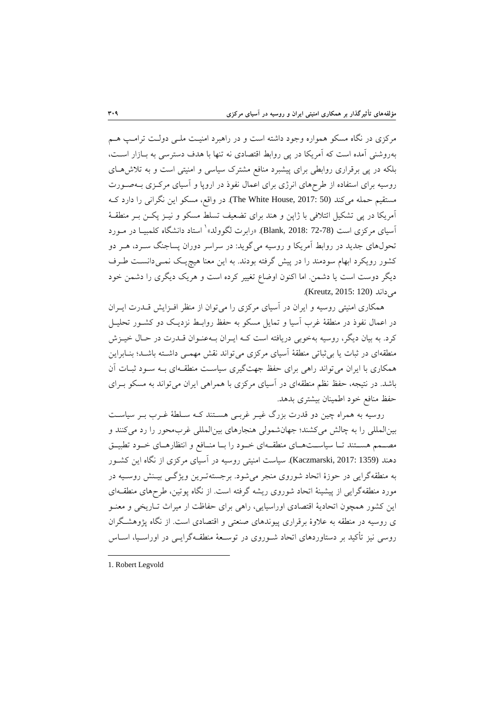مرکزی در نگاه مسکو همواره وجود داشته است و در راهبرد امنیت ملـی دولـت ترامـب هـم بهروشنی آمده است که آمریکا در پی روابط اقتصادی نه تنها با هدف دسترسی به بئازار اسئت، بهکه در پی برقراری روابطی برای پیشبرد منافع مشترك سیاسی و امنیتی است و به تالشهئای روسیه برای استفاده از طرحهای انرژی برای اعمال نفو در اروپا و آسیای مرکئزی بئه صئورت مستقیم حمله میکند (The White House, 2017: 50). در واقع، مسکو این نگرانی را دارد ک آمریکا در پی تشکیل ائتالفی با ژاپن و هند برای تضعیف تسهط مسکو و نیئز پکئن بئر منطقئۀ أسیای مرکزی است (72-72 Blank, 2018: «رابرت لگوولد» ٰ استاد دانشگاه کلمبیـا در مــورد تحولهای جدید در روابط آمریکا و روسیه میگوید: در سراسر دوران پساجنگ سئرد، هئر دو کشور رویکرد ابهام سودمند را در پیش گرفته بودند. به این معنا هیچیئک نمئی دانسئت طئرف دیگر دوست است یا دشمن. اما اکنون اوتاع تغییر کرده است و هریک دیگری را دشمن خود می داند (Kreutz, 2015: 120).

همکاری امنیتی روسیه و ایران در آسیای مرکزی را میتوان از منظر افئزایش قئدرت ایئران در اعمال نفوذ در منطقۀ غرب آسیا و تمایل مسکو به حفظ روابـط نزدیـک دو کشـور تحلیـل کرد. به بیان دیگر، روسیه بهخوبی دریافته است کـه ایـران بـهعنـوان قــدرت در حـال خیــزش منطقهای در ثبات یا بیثباتی منطقۀ آسیای مرکزی میتواند نقش مهمئی داشئته باشئد؛ بنئابراین همکاری با ایران میتواند راهی برای حفظ جهتگیری سیاسئت منطقئه ای بئه سئود ثبئات آن باشد. در نتیجه، حفظ نظم منطقهای در آسیای مرکزی با همراهی ایران می تواند به مسکو بـرای حفظ منافع خود اطمینان بیشتری بدهد.

روسیه به همراه چین دو قدرت بزرگ غیـر غربـی هسـتند کـه سـلطۀ غـرب بـر سیاسـت بین المللی را به چالش میکشند؛ جهانشمولی هنجارهای بین المللی غربمحور را رد میکنند و مصــمم هســتند تــا سیاســتهــای منطقــهای خــود را بــا منــافع و انتظارهــای خــود تطبیــق دهند (1359 2017: ,Kaczmarski(. سیاست امنیتی روسیه در آسیای مرکزی از نگاه این کشئور به منطقهگرایی در حوزۀ اتحاد شوروی منجر میشود. برجستهتئرین ویژگئی بیئنش روسئیه در مورد منطقهگرایی از پیشینۀ اتحاد شوروی ریشه گرفته است. از نگاه پوتین، طرحهای منطقئه ای این کشور همرون اتحادیۀ اقتصادی اوراسیایی، راهی برای حفاظت ار میراث تئاریخی و معنئو ی روسیه در منطقه به عالوۀ برقراری پیوندهای صنعتی و اقتصادی است. از نگاه پژوهشئگران روسی نیز تأکید بر دستاوردهای اتحاد شـوروی در توسـعۀ منطقـهگرایــی در اوراســیا، اســاس

1. Robert Legvold

-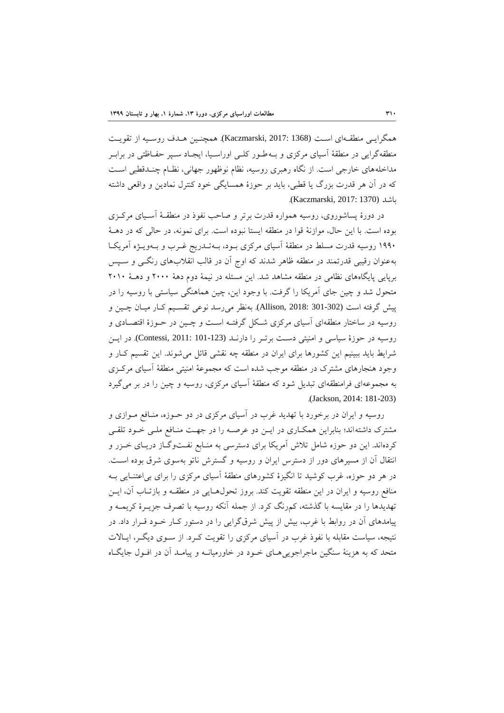همگرایئی منطقئه ای اسئت (1368 2017: ,Kaczmarski(. همرنئین هئدف روسئیه از تقویئت منطقهگرایی در منطقۀ آسیای مرکزی و بــهطـور کلــی اوراسـيا، ایجـاد ســیر حفــاظتی در برابــر مداخلههای خارجی است. از نگاه رهبری روسیه، نظام نوظهور جهانی، نظـام چنـدقطبی اسـت که در آن هر قدرت بزرگ یا قطبی، باید بر حوزۀ همسایگی خود کنترل نمادین و واقعی داشته باشد (1370 2017: ,Kaczmarski(.

در دورۀ پساشوروی، روسیه همواره قدرت برتر و صاحب نفو در منطقئۀ آسئیای مرکئزی بوده است. با این حال، موازنۀ قوا در منطقه ایستا نبوده است. برای نمونه، در حالی که در دهئۀ ۱۹۹۰ روسیه قدرت مسلط در منطقۀ آسیای مرکزی بــود، بــهتــدریج غــرب و بــهویــژه آمریکــا بهعنوان رقیبی قدرتمند در منطقه ظاهر شدند که اوج آن در قالب انقالبهای رنگئی و سئپس برپایی پایگاههای نظامی در منطقه مشاهد شد. این مسلهه در نیمۀ دوم دهۀ 0111 و دهئۀ 0161 متحول شد و نین جای آمریکا را گرفت. با وجود این، نین هماهنگی سیاستی با روسیه را در پیش گرفته است (302-301 :Allison, 2018). بهنظر می رسد نوعی تقسیم کار میـان چـین و روسیه در ساختار منطقهای آسیای مرکزی شئکل گرفتئه اسئت و نئین در حئوزۀ اقتصئادی و روسیه در حوزۀ سیاسی و امنیتی دسئت برتئر را دارنئد (101-123 2011: ,Contessi(. در ایئ ن شرایط باید ببینیم این کشورها برای ایران در منطقه چه نقشی قائل می شوند. این تقسیم کـار و وجود هنجارهای مشترك در منطقه موجب شده است که مجموعۀ امنیتی منطقۀ آسیای مرکئزی به مجموعهای فرامنطقهای تبدیل شود که منطقۀ آسیای مرکزی، روسیه و نین را در بر میگیرد .(Jackson, 2014: 181-203)

روسیه و ایران در برخورد با تهدید غرب در آسیای مرکزی در دو حئوزه، منئافع مئوازی و مشترک داشته اند؛ بنابراین همکاری در ایـن دو عرصـه را در جهـت منـافع ملـی خـود تلقـی کردهاند. این دو حوزه شامل تالش آمریکا برای دسترسی به منئابع نفئت وگئاز دریئای خئزر و انتقال آن از مسیرهای دور از دستر ایران و روسیه و گسترش ناتو بهسوی شر بوده اسئت. در هر دو حوزه، غرب کوشید تا انگیزۀ کشورهای منطقۀ آسیای مرکزی را برای بیاعتنئایی بئه منافع روسیه و ایران در این منطقه تقویت کند. بروز تحولهئایی در منطقئه و بازتئاب آن، ایئن تهدیدها را در مقایسه با گذشته، کمرنگ کرد. از جمهه آنکه روسیه با تصرف جزیئرۀ کریمئه و پیامدهای آن در روابط با غرب، بیش از پیش شر گرایی را در دستور کئار خئود قئرار داد. در نتیجه، سیاست مقابله با نفوذ غرب در آسیای مرکزی را تقویت کـرد. از سـوی دیگـر، ایـالات متحد که به هزینۀ سنگین ماجراجوییهئای خئود در خاورمیانئه و پیامئد آن در افئول جایگئاه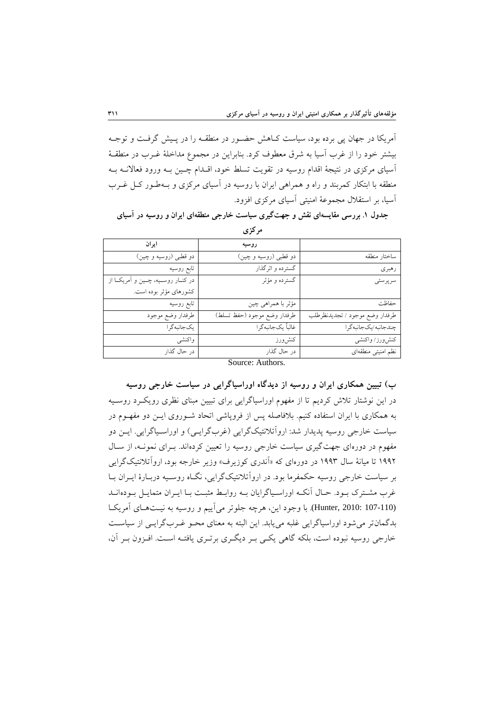آمریکا در جهان پی برده بود، سیاست کئاهش حضئور در منطقئه را در پئیش گرفئت و توجئه بیشتر خود را از غرب آسیا به شر معطوف کرد. بنابراین در مجموع مداخهۀ غئرب در منطقئۀ آسیای مرکزی در نتیجۀ اقدام روسیه در تقویت تسهط خود، اقئدام نئین بئه ورود فعاالنئه بئه منطقه با ابتکار کمربند و راه و همراهی ایران با روسیه در آسیای مرکزی و بئه طئور کئل غئرب آسیا، بر استقالل مجموعۀ امنیتی آسیای مرکزی افزود.

جدول ۱. بررسی مقایسهای نقش و جهتگیری سیاست خارجی منطقهای ایران و روسیه در آسیای

|                                | روسيه                       | ايران                                   |  |
|--------------------------------|-----------------------------|-----------------------------------------|--|
| ساختار منطقه                   | دو قطبي (روسيه و چين)       | دو قطبي (روسيه و چين)                   |  |
| رهبري                          | گسترده و اثرگذار            | تابع روسيه                              |  |
| سر پر ستی                      | گسترده و مؤثر               | در کنــار روســيه، چــين و اَمريکــا از |  |
|                                |                             | کشورهای مؤثر بوده است.                  |  |
| حفاظت                          | مؤثر با همراهی چین          | تابع روسيه                              |  |
| طرفدار وضع موجود / تجديدنظرطلب | طرفدار وضع موجود (حفظ تسلط) | طرفدار وضع موجود                        |  |
| چندجانبه/یکجانبه گرا           | غالباً يكجانبه گرا          | یکجانبه گرا                             |  |
| كنش ورز/ واكنشى                | كنشورز                      | واكنشى                                  |  |
| نظم امنيتى منطقهاى             | در حال گذار                 | در حال گذار                             |  |
| Source: Authors.               |                             |                                         |  |

**يمركز**

**ب( تبيين همکاري ایران و روسيه از دیدگاه اوراسياگرایی در سياست خارجی روسيه** در این نوشتار تالش کردیم تا از مفهوم اوراسیاگرایی برای تبیین مبنای نظری رویکئرد روسئیه به همکاری با ایران استفاده کنیم. بالفاصهه پس از فروپاشی اتحاد شئوروی ایئن دو مفهئوم در سیاست خارجی روسیه پدیدار شد: اروآتلانتیکگرایی (غربگرایی) و اوراسـپاگرایی. ایــن دو مفهوم در دورهای جهت گیری سیاست خارجی روسیه را تعیین کردهاند. بـرای نمونـه، از سـال ۱۹۹۲ تا میانۀ سال ۱۹۹۳ در دورهای که «اَندری کوزیرف» وزیر خارجه بود، ارواَتلانتیکگرایی بر سیاست خارجی روسیه حکمفرما بود. در روآتالنتیکا گرایی، نگئاه روسئیه دربئارۀ ایئران بئا غرب مشترك بود. حـال آنكـه اوراسـياگرايان بـه روابـط مثبـت بـا ايـران متمايـل بـودهانـد (Hunter, 2010: 107-110). با وجود این، هرچه جلوتر میآییم و روسیه به نیـتهـای آمریکا بدگمانتر میشود اوراسیاگرایی غهبه مییابد. این البته به معنای محئو غئرب گرایئی از سیاسئت خارجی روسیه نبوده است، بلکه گاهی یکی بـر دیگـری برتـری یافتـه اسـت. افـزون بـر آن،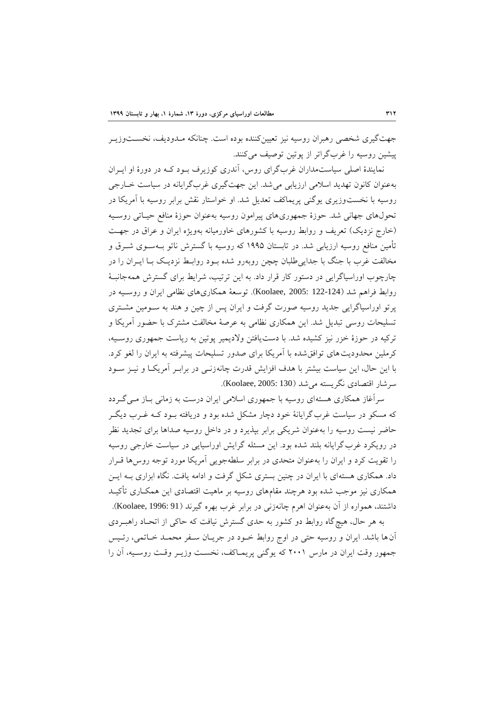جهتگیری شخصی رهبران روسیه نیز تعیینکننده بوده است. چنانکه مـدودیف، نخسـتوزیـر پیشین روسیه را غربگراتر از پوتین توصیف میکنند.

نمایندۀ اصلی سیاستمداران غربگرای روس، آندری کوزیرف بـود کـه در دورۀ او ایـران بهعنوان کانون تهدید اسالمی ارزیابی میشد. این جهتگیری غربگرایانه در سیاست خئارجی روسیه با نخستوزیری یوگنی پریماکف تعدیل شد. او خواستار نقش برابر روسیه با آمریکا در تحولهای جهانی شد. حوزۀ جمهوریهای پیرامون روسیه بهعنوان حوزۀ منافع حیئاتی روسئیه (خارج نزدیک) تعریف و روابط روسیه با کشورهای خاورمیانه بهویژه ایران و عراق در جهت تأمین منافع روسیه ارزیابی شد. در تابستان ۱۹۹۵ که روسیه با گسترش ناتو بـهسـوی شــرق و مخالفت غرب با جنگ با جدایی طلبان چچن روبهرو شده بـود روابـط نزدیـک بـا ایــران را در نارنوب اوراسیاگرایی در دستور کار قرار داد. به این ترتیب، شرایط برای گسترش همهجانبئۀ روابط فراهم شد )122-124 2005: ,Koolaee). توسعۀ همکاریهای نظامی ایران و روسئیه در پرتو اوراسیاگرایی جدید روسیه صورت گرفت و ایران پس از نین و هند به سئومین مشئتری تسهیحات روسی تبدیل شد. این همکاری نظامی به عرصۀ مخالفت مشترك با حضور آمریکا و ترکیه در حوزۀ خزر نیز کشیده شد. با دستیافتن والدیمیر پوتین به ریاست جمهوری روسئیه، کرملین محدودیت های توافق شده با آمریکا برای صدور تسلیحات پیشرفته به ایران را لغو کرد. با این حال، این سیاست بیشتر با هدف افزایش قدرت نانهزنئی در برابئر آمریکئا و نیئز سئود سرشار اقتصادی نگریسته میشد )130 2005: ,Koolaee).

سرآغاز همکاری هستهای روسیه با جمهوری اسلامی ایران درست به زمانی بـاز مـیگـردد که مسکو در سیاست غرب گرایانۀ خود دچار مشکل شده بود و دریافته بــود کــه غــرب دیگــر حاتر نیست روسیه را بهعنوان شریکی برابر بپذیرد و در داخل روسیه صداها برای تجدید نظر در رویکرد غرب گرایانه بلند شده بود. این مسئله گرایش اوراسیایی در سیاست خارجی روسیه را تقویت کرد و ایران را بهعنوان متحدی در برابر سلطهجویی آمریکا مورد توجه روس۵ها قـرار داد. همکاری هستهای با ایران در چنین بستری شکل گرفت و ادامه یافت. نگاه ابزاری بـه ایــن همکاری نیز موجب شده بود هرنند مقامهای روسیه بر ماهیت اقتصادی این همکئاری تأکیئد داشتند، همواره از آن بهعنوان اهرم چانهزنی در برابر غرب بهره گیرند (Koolaee, 1996: 91).

به هر حال، هیچگاه روابط دو کشور به حدی گسترش نیافت که حاکی از اتحئاد راهبئردی آنها باشد. ایران و روسیه حتی در اوج روابط خئود در جریئان سئفر محمئد خئاتمی، رئئیس جمهور وقت ایران در مارس ۲۰۰۱ که یوگنی پریمـاکف، نخسـت وزیـر وقـت روسـیه، آن را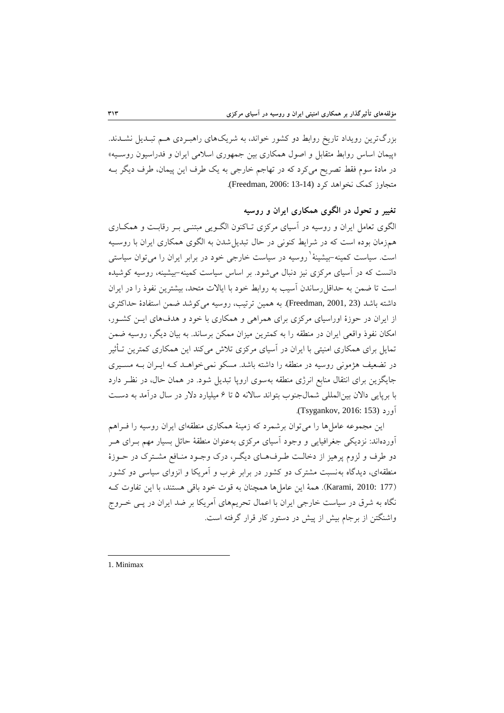بزرگترین رویداد تاریخ روابط دو کشور خواند، به شریکهای راهبـردی هــم تبـدیل نشــدند. «پیمان اساس روابط متقابل و اصول همکاری بین جمهوری اسلامی ایران و فدراسیون روسـیه» در مادۀ سوم فقط تصریح میکرد که در تهاجم خارجی به یک طرف این پیمان، طرف دیگر بئه متجاوز کمک نخواهد کرد (13-14 :Freedman, 2006).

**تغيير و تحول در الگوي همکاري ایران و روسيه**

الگوی تعامل ایران و روسیه در آسیای مرکزی تئاکنون الگئویی مبتنئی بئر رقابئت و همکئاری همزمان بوده است که در شرایط کنونی در حال تبدیلشدن به الگوی همکاری ایران با روسئیه ست. سیاست کمینه–بیشینۀ ٰ روسیه در سیاست خارجی خود در برابر ایران را میتوان سیاستی دانست که در آسیای مرکزی نیز دنبال می شود. بر اساس سیاست کمینه-بیشینه، روسیه کوشیده است تا ضمن به حداقل رساندن آسیب به روابط خود با ایالات متحد، بیشترین نفوذ را در ایران داشته باشد (23 2001, ,Freedman(. به همین ترتیب، روسیه میکوشد تمن استفادۀ حداکیری از ایران در حوزۀ اوراسیای مرکزی برای همراهی و همکاری با خود و هدفهای ایئن کشئور، امکان نفوذ واقعی ایران در منطقه را به کمترین میزان ممکن برساند. به بیان دیگر، روسیه ضمن تمایل برای همکاری امنیتی با ایران در آسیای مرکزی تلاش میکند این همکاری کمترین تـأثیر در تضعیف هژمونی روسیه در منطقه را داشته باشد. مسکو نمیخواهئد کئه ایئران بئه مسئیری جایگزین برای انتقال منابع انرژی منطقه بهسوی اروپا تبدیل شود. در همان حال، در نظئر دارد با برپایی دالان بین المللی شمالجنوب بتواند سالانه ۵ تا ۶ میلیارد دلار در سال درآمد به دست آورد (153 :Tsygankov, 2016).

این مجموعه عاملها را میتوان برشمرد که زمینۀ همکاری منطقهای ایران روسیه را فئراهم آوردهاند: نزدیکی جغرافیایی و وجود آسیای مرکزی بهعنوان منطقۀ حائل بسیار مهم بئرای هئر دو طرف و لزوم پرهیز از دخالت طرف های دیگر، درك وجـود منـافع مشـترك در حـوزۀ منطقهای، دیدگاه بهنسبت مشترك دو کشور در برابر غرب و آمریکا و انزوای سیاسی دو کشور )177 2010: ,Karami). همۀ این عاملها همرنان به قوت خود باقی هستند، با این تفاوت کئه نگاه به شرق در سیاست خارجی ایران با اعمال تحریمهای آمریکا بر ضد ایران در پـی خـروج واشنگتن از برجام بیش از پیش در دستور کار قرار گرفته است.

1. Minimax

-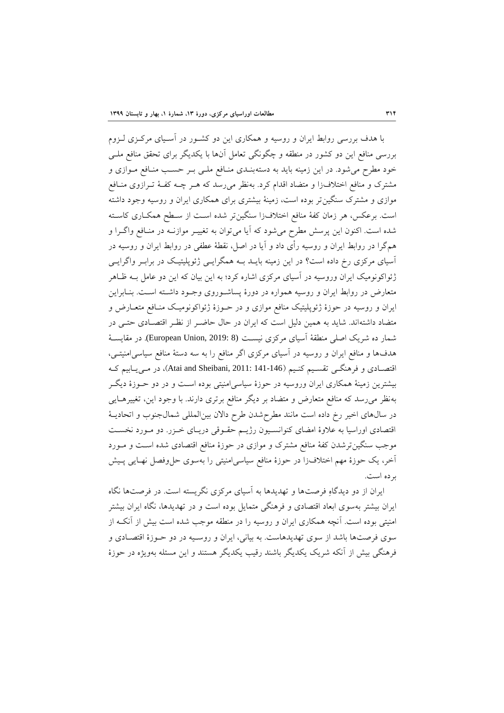با هدف بررسی روابط ایران و روسیه و همکاری این دو کشئور در آسئیای مرکئزی لئزوم بررسی منافع این دو کشور در منطقه و نگونگی تعامل آنها با یکدیگر برای تحقق منافع مهئی خود مطرح میشود. در این زمینه باید به دستهبنئدی منئافع مهئی بئر حسئب منئافع مئوازی و مشترك و منافع اختالفزا و متضاد اقدام کرد. بهنظر میرسد که هئر نئه کفئۀ تئرازوی منئافع موازی و مشترك سنگینتر بوده است، زمینۀ بیشتری برای همکاری ایران و روسیه وجود داشته است. برعکس، هر زمان کفۀ منافع اختالفزا سنگینتر شده اسئت از سئطح همکئاری کاسئته شده است. اکنون این پرسش مطرح میشود که آیا میتوان به تغییئر موازنئه در منئافع واگئرا و همگرا در روابط ایران و روسیه رأی داد و آیا در اصل، نقطۀ عطفی در روابط ایران و روسیه در آسیای مرکزی رخ داده است؟ در این زمینه بایـد بــه همگرایــی ژئوپلیتیـک در برابـر واگرایــی ژئواکونومیک ایران وروسیه در آسیای مرکزی اشاره کرد؛ به این بیان که این دو عامل بئه ظئاهر متعارض در روابط ایران و روسیه همواره در دورۀ پساشئوروی وجئود داشئته اسئت. بنئابراین ایران و روسیه در حوزۀ ژئوپهیتیک منافع موازی و در حئوزۀ ژئواکونومیئک منئافع متعئارض و متضاد داشتهاند. شاید به همین دلیل است که ایران در حال حاتئر از نظئر اقتصئادی حتئی در شمار ده شریک اصهی منطقۀ آسیای مرکزی نیسئت (8 2019: ,Union European(. در مقایسئۀ هدفها و منافع ایران و روسیه در آسیای مرکزی اگر منافع را به سه دستۀ منافع سیاسیامنیتئی، اقتصادی و فرهنگی تقسیم کنیم (146-141 :141 Sheibani, 2011: 44)، در می یـابیم ک بیشترین زمینۀ همکاری ایران وروسیه در حوزۀ سیاسیامنیتی بوده اسئت و در دو حئوزۀ دیگئر بهنظر میرسد که منافع متعارض و متضاد بر دیگر منافع برتری دارند. با وجود این، تغییرهئایی در سالهای اخیر رخ داده است مانند مطرحشدن طرح دالان بین المللی شمال جنوب و اتحادیـهٔ اقتصادی اوراسیا به عالوۀ امضای کنوانسئیون رژیئم حقئوقی دریئای خئزر. دو مئورد نخسئت موجب سنگینترشدن کفۀ منافع مشترك و موازی در حوزۀ منافع اقتصادی شده اسئت و مئورد آخر، یک حوزۀ مهم اختالفزا در حوزۀ منافع سیاسیامنیتی را بهسوی حلوفصل نهئایی پئیش برده است.

ایران از دو دیدگاهِ فرصتها و تهدیدها به آسیای مرکزی نگریسته است. در فرصتها نگاه ایران بیشتر بهسوی ابعاد اقتصادی و فرهنگی متمایل بوده است و در تهدیدها، نگاه ایران بیشتر امنیتی بوده است. آنچه همکاری ایران و روسیه را در منطقه موجب شده است بیش از آنک از سوی فرصتها باشد از سوی تهدیدهاست. به بیانی، ایران و روسئیه در دو حئوزۀ اقتصئادی و فرهنگی بیش از آنکه شریک یکدیگر باشند رقیب یکدیگر هستند و این مسلهه بهویژه در حوزۀ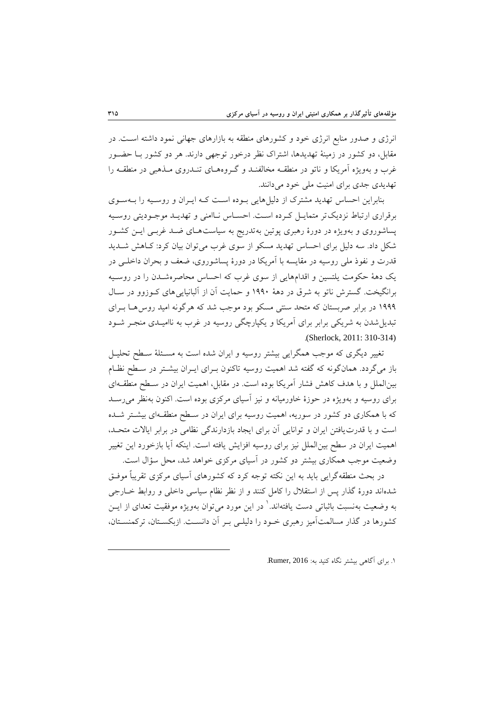انرژی و صدور منابع انرژی خود و کشورهای منطقه به بازارهای جهانی نمود داشته اسئت. در مقابل، دو کشور در زمینۀ تهدیدها، اشتراك نظر درخور توجهی دارند. هر دو کشور بئا حضئور غرب و بهویژه آمریکا و ناتو در منطقـه مخالفنــد و گــروههــای تنــدروی مــذهبی در منطقــه را تهدیدی جدی برای امنیت ملی خود می دانند.

بنابراین احساس تهدید مشترک از دلیلهایی بوده است کـه ایـران و روسـیه را بـهسـوی برقراری ارتباط نزدیک تر متمایـل کـرده اسـت. احسـاس نـاامنی و تهدیـد موجـودیتی روسـیه پساشوروی و بهویژه در دورۀ رهبری پوتین بهتدریج به سیاستهـای ضـد غربـی ایــن کشــور شکل داد. سه دلیل برای احساس تهدید مسکو از سوی غرب میتوان بیان کرد: کاهش شـدید قدرت و نفوذ ملی روسیه در مقایسه با آمریکا در دورۀ پساشوروی، ضعف و بحران داخلـی در یک دهۀ حکومت یلتسین و اقدامهایی از سوی غرب که احساس محاصرهشـدن را در روسـیه برانگیخت. گسترش ناتو به شر در دهۀ 6331 و حمایت آن از آلبانیاییهای کئوزوو در سئال ۱۹۹۹ در برابر صربستان که متحد سنتی مسکو بود موجب شد که هرگونه امید روس هـا بــرای تبدیل شدن به شریکی برابر برای آمریکا و یکپارچگی روسیه در غرب به ناامیـدی منجـر شـود .(Sherlock, 2011: 310-314)

تغییر دیگری که موجب همگرایی بیشتر روسیه و ایران شده است به مسـئلهٔ سـطح تحلیـل باز میگردد. همانگونه که گفته شد اهمیت روسیه تاکنون بـرای ایـران بیشـتر در سـطح نظـام بینالمهل و با هدف کاهش فشار آمریکا بوده است. در مقابل، اهمیت ایران در سئطح منطقئه ای برای روسیه و بهویژه در حوزۀ خاورمیانه و نیز آسیای مرکزی بوده است. اکنون بهنظر میرسئد که با همکاری دو کشور در سوریه، اهمیت روسیه برای ایران در سئطح منطقئه ای بیشئتر شئده است و با قدرتیافتن ایران و توانایی آن برای ایجاد بازدارندگی نظامی در برابر ایاالت متحئد، اهمیت ایران در سطح بینالمهل نیز برای روسیه افزایش یافته است. اینکه آیا بازخورد این تغییر وتعیت موجب همکاری بیشتر دو کشور در آسیای مرکزی خواهد شد، محل سؤال است.

در بحث منطقهگرایی باید به این نکته توجه کرد که کشورهای آسیای مرکزی تقریباً موفئق شدهاند دورۀ گذار پس از استقالل را کامل کنند و از نظر نظام سیاسی داخهی و روابط خئارجی به وضعیت بهنسبت باثباتی دست یافتهاند.<sup>\</sup> در این مورد میتوان بهویژه موفقیت تعدای از ایــن کشورها در گذار مسالمتآمیز رهبری خئود را دلیهئی بئر آن دانسئت. ازبکسئتان، ترکمنسئتان،

.6 برای آگاهی بیشتر نگاه کنید به: 2016 ,Rumer.

1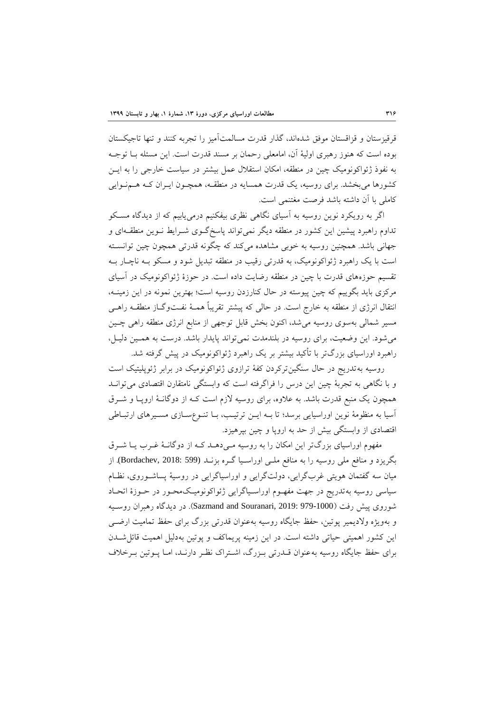قرقیزستان و قزاقستان موفق شدهاند، گذار قدرت مسالمتآمیز را تجربه کنند و تنها تاجیکستان بوده است که هنوز رهبری اولیۀ آن، امامعهی رحمان بر مسند قدرت است. این مسلهه بئا توجئه به نفو ژئواکونومیک نین در منطقه، امکان استقالل عمل بیشتر در سیاست خارجی را به ایئن کشورها میبخشد. برای روسیه، یک قدرت همسایه در منطقـه، همچـون ایـران کـه هـمنـوایی کامهی با آن داشته باشد فرصت مغتنمی است.

اگر به رویکرد نوین روسیه به آسیای نگاهی نظری بیفکنیم درمییابیم که از دیدگاه مسئکو تداوم راهبرد پیشین این کشور در منطقه دیگر نمی تواند پاسخگوی شـرایط نـوین منطقـهای و جهانی باشد. همچنین روسیه به خوبی مشاهده میکند که چگونه قدرتی همچون چین توانسـته است با یک راهبرد ژئواکونومیک، به قدرتی رقیب در منطقه تبدیل شود و مسکو بئه نانئار بئه تقسیم حوزههای قدرت با نین در منطقه رتایت داده است. در حوزۀ ژئواکونومیک در آسیای مرکزی باید بگوییم که نین پیوسته در حال کنارزدن روسیه است؛ بهترین نمونه در این زمینئه، انتقال انرژی از منطقه به خارج است. در حالی که پیشتر تقریباً همئۀ نفئت وگئاز منطقئه راهئی مسیر شمالی بهسوی روسیه میشد، اکنون بخش قابل توجهی از منابع انرژی منطقه راهی چـین میشود. این وتعیت، برای روسیه در بهندمدت نمیتواند پایدار باشد. درست به همئین دلیئل، راهبرد اوراسیای بزرگتر با تأکید بیشتر بر یک راهبرد ژئواکونومیک در پیش گرفته شد.

روسیه بهتدریج در حال سنگین ترکردن کفۀ ترازوی ژئواکونومیک در برابر ژئوپلیتیک است و با نگاهی به تجربۀ چین این درس را فراگرفته است که وابستگی نامتقارن اقتصادی می توانـد همچون یک منبع قدرت باشد. به علاوه، برای روسیه لازم است کـه از دوگانـۀ اروپـا و شــرق آسیا به منظومۀ نوین اوراسیایی برسد؛ تا بئه ایئن ترتیئب، بئا تنئوع سئازی مسئیرهای ارتبئاطی اقتصادی از وابستگی بیش از حد به اروپا و چین بپرهیزد.

مفهوم اوراسیای بزرگتر این امکان را به روسیه می دهـد کـه از دوگانـۀ غـرب یـا شـرق بگریزد و منافع ملی روسیه را به منافع ملـی اوراسـیا گـره بزنـد (599 Bordachev, 2018: 599). از میان سه گفتمان هویتی غربگرایی، دولتگرایی و اوراسیاگرایی در روسیۀ پساشئوروی، نظئام سیاسی روسیه بهتدریج در جهت مفهئوم اوراسئیاگرایی ژئواکونومیئک محئور در حئوزۀ اتحئاد شوروی پیش رفت )979-1000 2019: ,Souranari and Sazmand). در دیدگاه رهبران روسئیه و بهویژه والدیمیر پوتین، حفظ جایگاه روسیه بهعنوان قدرتی بزرگ برای حفظ تمامیت ارتئی این کشور اهمیتی حیاتی داشته است. در این زمینه پریماکف و پوتین بهدلیل اهمیت قائلشئدن برای حفظ جایگاه روسیه بهعنوان قئدرتی بئزرگ، اشئتراك نظئر دارنئد، امئا پئوتین بئرخالف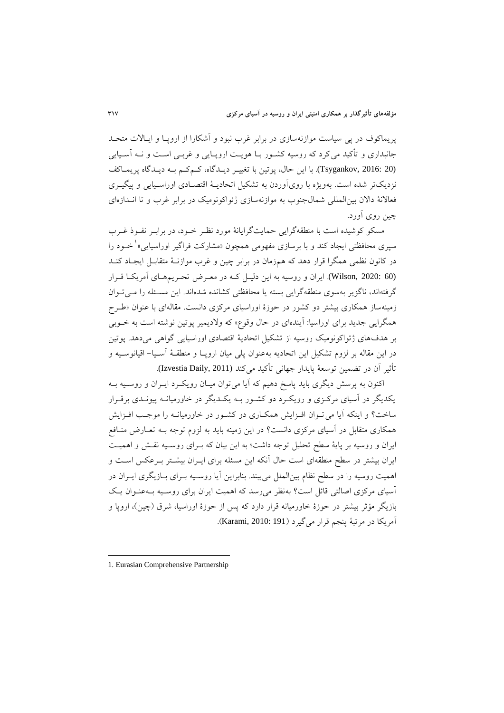پریماکوف در پی سیاست موازنهسازی در برابر غرب نبود و آشکارا از اروپئا و ایئاالت متحئد جانبداری و تأکید می کرد که روسیه کشـور بـا هویـت اروپـایی و غربـی اسـت و نــه آسـیایی (Tsygankov, 2016: 20). با این حال، پوتین با تغییر دیدگاه، کے کم به دیدگاه پریماکف نزدیکتر شده است. بهویژه با رویآوردن به تشکیل اتحادیـهٔ اقتصـادی اوراسـیایی و پیگیـری فعالانۀ دالان بین المللی شمالجنوب به موازنهسازی ژئواکونومیک در برابر غرب و تا انـدازهای نین روی آورد.

مسکو کوشیده است با منطقهگرایی حمایتگرایانۀ مورد نظئر خئود، در برابئر نفئو غئرب سپری محافظتی ایجاد کند و با برسازی مفهومی همچون «مشارکت فراگیر اوراسیایی»<sup>۱</sup> خــود را در کانون نظمی همگرا قرار دهد که همزمان در برابر نین و غرب موازنئۀ متقابئل ایجئاد کنئد (60 2020: ,Wilson(. ایران و روسیه به این دلیئل کئه در معئرض تحئریم هئای آمریکئا قئرار گرفتهاند، ناگزیر بهسوی منطقهگرایی بسته یا محافظتی کشانده شدهاند. این مسئلهه را مئی تئوان زمینهساز همکاری بیشتر دو کشور در حوزۀ اوراسیای مرکزی دانست. مقالهای با عنوان »طئرح همگرایی جدید برای اوراسیا: آیندهای در حال وقوع« که والدیمیر پوتین نوشته است به خئوبی بر هدفهای ژئواکونومیک روسیه از تشکیل اتحادیۀ اقتصادی اوراسیایی گواهی میدهد. پوتین در این مقاله بر لزوم تشکیل این اتحادیه بهعنوان پهی میان اروپئا و منطقئۀ آسئیا - اقیانوسئیه و تأثیر آن در تضمین توسعۀ پایدار جهانی تأکید میکند (Izvestia Daily, 2011).

اکنون به پرسش دیگری باید پاسخ دهیم که آیا میتوان میـان رویکـرد ایـران و روسـیه بــه یکدیگر در آسیای مرکئزی و رویکئرد دو کشئور بئه یکئدیگر در خاورمیانئه پیونئدی برقئرار ساخت؟ و اینکه آیا می تـوان افـزایش همکـاری دو کشـور در خاورمیانـه را موجـب افـزایش همکاری متقابل در آسیای مرکزی دانست؟ در این زمینه باید به لزوم توجه بئه تعئارض منئافع ایران و روسیه بر پایۀ سطح تحهیل توجه داشت؛ به این بیان که بئرای روسئیه نقئش و اهمیئت ایران بیشتر در سطح منطقهای است حال آنکه این مسئله برای ایـران بیشـتر بـرعکس اسـت و اهمیت روسیه را در سطح نظام بین|لملل میبیند. بنابراین آیا روسـیه بـرای بــازیگری ایــران در آسیای مرکزی اصالتی قائل است؟ بهنظر میرسد که اهمیت ایران برای روسئیه بئه عنئوان یئک بازیگر مؤثر بیشتر در حوزۀ خاورمیانه قرار دارد که پس از حوزۀ اوراسیا، شرق (چین)، اروپا و آمریکا در مرتبۀ پنجم قرار میگیرد )191 2010: ,Karami).

-

<sup>1.</sup> Eurasian Comprehensive Partnership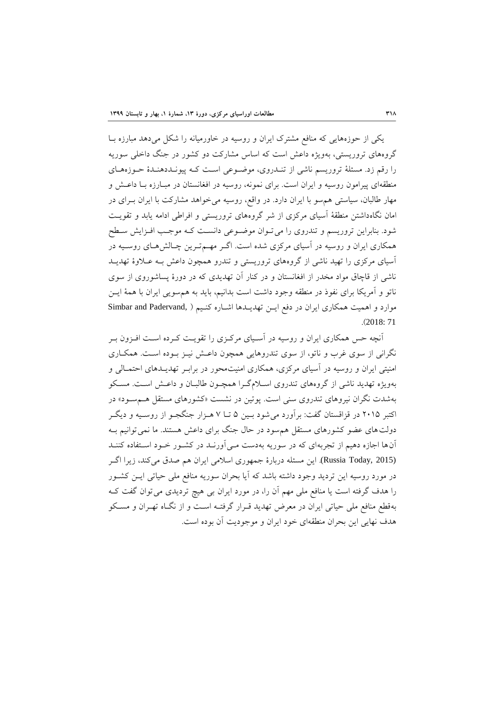یکی از حوزههایی که منافع مشترك ایران و روسیه در خاورمیانه را شکل میدهد مبارزه بئا گروههای تروریستی، بهویژه داعش است که اسا مشارکت دو کشور در جنگ داخهی سوریه را رقم زد. مسئلۀ تروریسم ناشی از تنـدروی، موضـوعی اسـت کـه پیونـددهنـدۀ حـوزههـای منطقهای پیرامون روسیه و ایران است. برای نمونه، روسیه در افغانستان در مبـارزه بـا داعـش و مهار طالبان، سیاستی همسو با ایران دارد. در واقع، روسیه میخواهد مشارکت با ایران بئرای در امان نگاهداشتن منطقۀ آسیای مرکزی از شر گروههای تروریستی و افراطی ادامه یابد و تقویئت شود. بنابراین تروریسم و تندروی را می تـوان موضـوعی دانسـت کـه موجـب افـزایش سـطح همکاری ایران و روسیه در آسیای مرکزی شده است. اگـر مهـمتـرین چـالش هـای روسـیه در آسیای مرکزی را تهید ناشی از گروههای تروریستی و تندرو همرون داعش بئه عئالوۀ تهدیئد ناشی از قاچاق مواد مخدر از افغانستان و در کنار آن تهدیدی که در دورۀ پساشوروی از سوی ناتو و آمریکا برای نفو در منطقه وجود داشت است بدانیم، باید به همسویی ایران با همۀ ایئن موارد و اهمیت همکاری ایران در دفع ایـن تهدیـدها اشـاره کنـیم ( ,Simbar and Padervand .)2018: 71

آنچه حس همکاری ایران و روسیه در آسـیای مرکـزی را تقویـت کـرده اسـت افـزون بـر نگرانی از سوی غرب و ناتو، از سوی تندروهایی همرون داعئش نیئز بئوده اسئت. همکئاری امنیتی ایران و روسیه در آسیای مرکزی، همکاری امنیتمحور در برابئر تهدیئدهای احتمئالی و بهویژه تهدید ناشی از گروههای تندروی اسئالم گئرا همرئون طالبئان و داعئش اسئت. مسئکو بهشدت نگران نیروهای تندروی سنی است. پوتین در نشست «کشورهای مستقل هـمسـود» در اکتبر 0161 در قزاقستان گفت: برآورد میشود بئین 1 تئا 7 هئزار جنگجئو از روسئیه و دیگئر دولتهای عضو کشورهای مستقل همسود در حال جنگ برای داعش هستند. ما نمیتوانیم بئه آنها اجازه دهیم از تجربهای که در سوریه بهدست مئی آورنئد در کشئور خئود اسئتفاده کننئد (Russia Today, 2015). این مسئله دربارۀ جمهوری اسلامی ایران هم صدق میکند، زیرا اگر در مورد روسیه این تردید وجود داشته باشد که آیا بحران سوریه منافع مهی حیاتی ایئن کشئور را هدف گرفته است یا منافع مهی مهم آن را، در مورد ایران بی هیچ تردیدی میتوان گفت کئه بهقطع منافع مهی حیاتی ایران در معرض تهدید قئرار گرفتئه اسئت و از نگئاه تهئران و مسئکو هدف نهایی این بحران منطقهای خود ایران و موجودیت آن بوده است.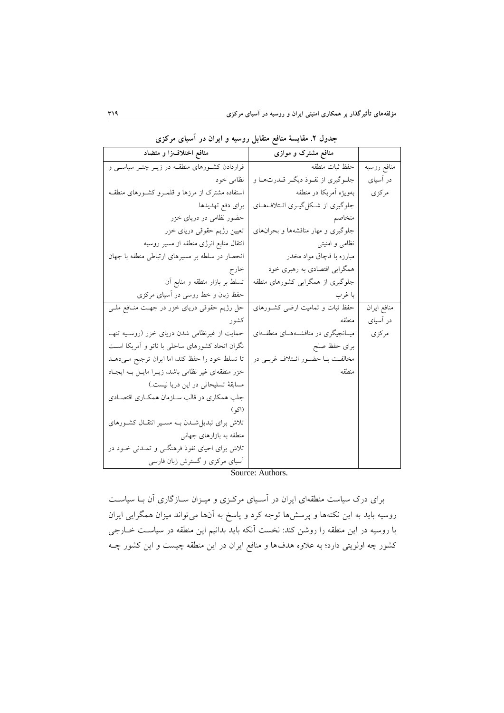| منافع اختلاف(ا و متضاد                             | منافع مشترک و موازی                   |             |
|----------------------------------------------------|---------------------------------------|-------------|
| قراردادن کشورهای منطقـه در زیــر چتــر سیاســی و   | حفظ ثبات منطقه                        | منافع روسيه |
| نظامی خود                                          | جلوگیري از نفـوذ ديگـر قـدرتهـا و     | در آسیای    |
| استفاده مشترک از مرزها و قلمـرو کشـورهای منطقـه    | بەويژە آمريكا در منطقه                | مركزي       |
| براي دفع تهديدها                                   | جلوگیری از شکل گیری ائتلافهای         |             |
| حضور نظامی در دریای خزر                            | متخاصم                                |             |
| تعیین رژیم حقوقی دریای خزر                         | جلوگیری و مهار مناقشهها و بحرانهای    |             |
| انتقال منابع انرژی منطقه از مسیر روسیه             | نظامی و امنیتی                        |             |
| انحصار در سلطه بر مسیرهای ارتباطی منطقه با جهان    | مبارزه با قاچاق مواد مخدر             |             |
| خارج                                               | همگرایی اقتصادی به رهبری خود          |             |
| تسلط بر بازار منطقه و منابع أن                     | جلوگیری از همگرایی کشورهای منطقه      |             |
| حفظ زبان و خط روسی در أسیای مرکزی                  | با غرب                                |             |
| حل رژیم حقوقی دریای خزر در جهت منـافع ملـی         | حفظ ثبات و تمامیت ارضی کشورهای        | منافع ايران |
| کشو ر                                              | منطقه                                 | در آسیای    |
| حمایت از غیرنظامی شدن دریای خزر (روسـیه تنهـا      | میـانجیگری در مناقشــههــای منطقــهای | مركزي       |
| نگران اتحاد کشورهای ساحلی با ناتو و آمریکا است     | براي حفظ صلح                          |             |
| تا تسلط خود را حفظ کند، اما ایران ترجیح مـیدهـد    | مخالفت بـا حضـور ائـتلاف غربـي در     |             |
| خزر منطقهای غیر نظامی باشد، زیـرا مایـل بـه ایجـاد | منطقه                                 |             |
| مسابقهٔ تسلیحاتی در این دریا نیست.)                |                                       |             |
| جلب همکاری در قالب سـازمان همکـاری اقتصـادی        |                                       |             |
| (اكو)                                              |                                       |             |
| تلاش برای تبدیل شـدن بـه مسـیر انتقـال کشـورهای    |                                       |             |
| منطقه به بازارهای جهانی                            |                                       |             |
| تلاش برای احیای نفوذ فرهنگــی و تمــدنی خــود در   |                                       |             |
| آسیای مرکزی و گسترش زبان فارسی                     |                                       |             |

جدول ۲. مقايسهٔ منافع متقابل روسیه و ایران در آسیای مركزی

Source: Authors.

برای درك سیاست منطقهای ایران در آسئیای مرکئزی و میئزان سئازگاری آن بئا سیاسئت روسیه باید به این نکتهها و پرسش۱ها توجه کرد و پاسخ به آنها می $\vec{v}$ واند میزان همگرایی ایران با روسیه در این منطقه را روشن کند: نخست آنکه باید بدانیم این منطقه در سیاسئت خئارجی کشور چه اولویتی دارد؛ به علاوه هدفها و منافع ایران در این منطقه چیست و این کشور چــه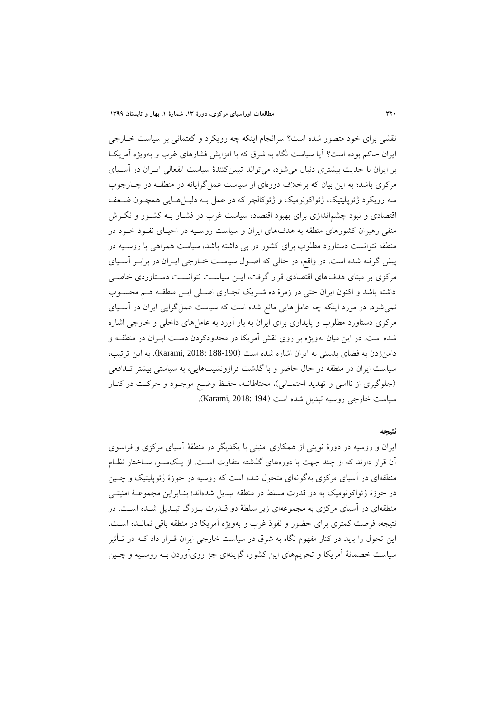نقشی برای خود متصور شده است؟ سرانجام اینکه نه رویکرد و گفتمانی بر سیاست خئارجی ایران حاکم بوده است؟ آیا سیاست نگاه به شر که با افزایش فشارهای غرب و بهویژه آمریکئا بر ایران با جدیت بیشتری دنبال میشود، میتواند تبیینکنندۀ سیاست انفعالی ایئران در آسئیای مرکزی باشد؛ به این بیان که برخلاف دورهای از سیاست عمل گرایانه در منطقـه در چـارچوب سه رویکرد ژئوپلیتیک، ژئواکونومیک و ژئوکالچر که در عمل بـه دلیـل هـایی همچــون ضــعف اقتصادی و نبود چشماندازی برای بهبود اقتصاد، سیاست غرب در فشـار بــه کشــور و نگــرش منفی رهبران کشورهای منطقه به هدفهای ایران و سیاست روسیه در احیـای نفـوذ خـود در منطقه نتوانست دستاورد مطهوب برای کشور در پی داشته باشد، سیاست همراهی با روسئیه در پیش گرفته شده است. در واقع، در حالی که اصئو ل سیاسئت خئارجی ایئران در برابئر آسئیای مرکزی بر مبنای هدفهای اقتصادی قرار گرفت، ایئن سیاسئت نتوانسئت دسئتاوردی خاصئی داشته باشد و اکنون ایران حتی در زمرۀ ده شـریک تجـاری اصـلی ایـن منطقـه هـم محسـوب نمیشود. در مورد اینکه چه عامل هایی مانع شده است که سیاست عمل گرایی ایران در آسـیای مرکزی دستاورد مطهوب و پایداری برای ایران به بار آورد به عاملهای داخهی و خارجی اشاره شده است. در این میان بهویژه بر روی نقش آمریکا در محدودکردن دسئت ایئران در منطقئه و دامنزدن به فضای بدبینی به ایران اشاره شده است )188-190 2018: ,Karami). به این ترتیب، سیاست ایران در منطقه در حال حاتر و با گذشت فرازونشیبهایی، به سیاستی بیشتر تئدافعی )جهوگیری از ناامنی و تهدید احتمئالی(، محتاطانئه، حفئظ وتئع موجئود و حرکئت در کنئار سیاست خارجی روسیه تبدیل شده است (194 :Karami, 2018).

#### **نتيجه**

ایران و روسیه در دورۀ نوینی از همکاری امنیتی با یکدیگر در منطقۀ آسیای مرکزی و فراسوی آن قرار دارند که از نند جهت با دورههای گذشته متفاوت اسئت. از یئک سئو، سئاختار نظئام منطقهای در آسیای مرکزی بهگونهای متحول شده است که روسیه در حوزۀ ژئوپلیتیک و چــین در حوزۀ ژئواکونومیک به دو قدرت مسهط در منطقه تبدیل شدهاند؛ بنئابراین مجموعئۀ امنیتئی منطقهای در آسیای مرکزی به مجموعهای زیر سهطۀ دو قئدرت بئزرگ تبئدیل شئده اسئت. در نتیجه، فرصت کمتری برای حضور و نفو غرب و بهویژه آمریکا در منطقه باقی نمانئده اسئت. این تحول را باید در کنار مفهوم نگاه به شرق در سیاست خارجی ایران قـرار داد کــه در تــأثیر سیاست خصمانۀ آمریکا و تحریمهای این کشور، گزینهای جز رویآوردن بئه روسئیه و نئین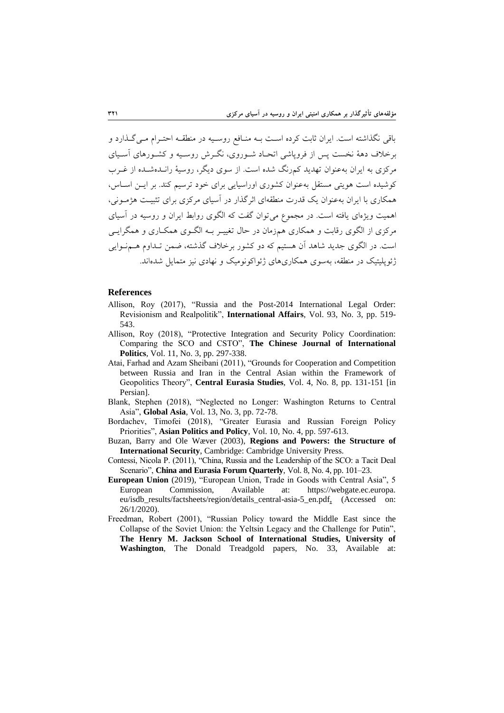باقی نگذاشته است. ایران ثابت کرده اسئت بئه منئافع روسئیه در منطقئه احتئرام مئی گئذارد و برخالف دهۀ نخست پس از فروپاشی اتحئاد شئوروی، نگئرش روسئیه و کشئورهای آسئیای مرکزی به ایران بهعنوان تهدید کمرنگ شده است. از سوی دیگر، روسیۀ رانئده شئده از غئرب کوشیده است هویتی مستقل بهعنوان کشوری اوراسیایی برای خود ترسیم کند. بر ایـن اسـاس، همکاری با ایران بهعنوان یک قدرت منطقهای اثرگذار در آسیای مرکزی برای تیبیئت هژمئونی، اهمیت ویژهای یافته است. در مجموع میتوان گفت که الگوی روابط ایران و روسیه در آسیای مرکزی از الگوی رقابت و همکاری همزمان در حال تغییئر بئه الگئوی همکئاری و همگرایئی است. در الگوی جدید شاهد آن هستیم که دو کشور برخالف گذشته، تمن تئداوم هئم نئوایی ژئوپهیتیک در منطقه، بهسوی همکاریهای ژئواکونومیک و نهادی نیز متمایل شدهاند.

#### **References**

- Allison, Roy (2017), "Russia and the Post-2014 International Legal Order: Revisionism and Realpolitik", **International Affairs**, Vol. 93, No. 3, pp. 519- 543.
- Allison, Roy (2018), "Protective Integration and Security Policy Coordination: Comparing the SCO and CSTO", **The Chinese Journal of International Politics**, Vol. 11, No. 3, pp. 297-338.
- Atai, Farhad and Azam Sheibani (2011), "Grounds for Cooperation and Competition between Russia and Iran in the Central Asian within the Framework of Geopolitics Theory", **Central Eurasia Studies**, Vol. 4, No. 8, pp. 131-151 [in Persian].
- Blank, Stephen (2018), "Neglected no Longer: Washington Returns to Central Asia", **Global Asia**, Vol. 13, No. 3, pp. 72-78.
- Bordachev, Timofei (2018), "Greater Eurasia and Russian Foreign Policy Priorities", **Asian Politics and Policy**, Vol. 10, No. 4, pp. 597-613.
- Buzan, Barry and Ole Wæver (2003), **Regions and Powers: the Structure of International Security**, Cambridge: Cambridge University Press.
- Contessi, Nicola P. (2011), "China, Russia and the Leadership of the SCO: a Tacit Deal Scenario", **China and Eurasia Forum Quarterly**, Vol. 8, No. 4, pp. 101–23.
- **European Union** (2019), "European Union, Trade in Goods with Central Asia", 5 European Commission, Available at: https://webgate.ec.europa. eu/isdb\_results/factsheets/region/details\_central-asia-5\_en.pdf, (Accessed on: 26/1/2020).
- Freedman, Robert (2001), "Russian Policy toward the Middle East since the Collapse of the Soviet Union: the Yeltsin Legacy and the Challenge for Putin", **The Henry M. Jackson School of International Studies, University of Washington**, The Donald Treadgold papers, No. 33, Available at: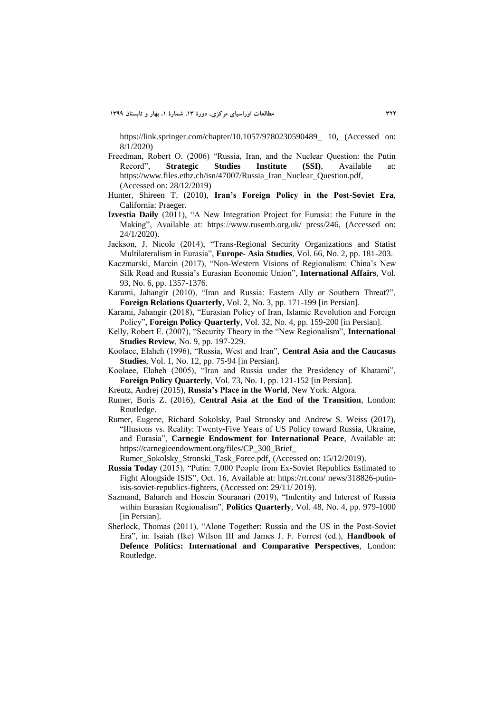https://link.springer.com/chapter/10.1057/9780230590489\_ 10, (Accessed on: 8/1/2020)

- Freedman, Robert O. (2006) "Russia, Iran, and the Nuclear Question: the Putin Record", **Strategic Studies Institute (SSI)**, Available at: https://www.files.ethz.ch/isn/47007/Russia Iran Nuclear Question.pdf, (Accessed on: 28/12/2019)
- Hunter, Shireen T. (2010), **Iran's Foreign Policy in the Post-Soviet Era**, California: Praeger.
- **Izvestia Daily** (2011), "A New Integration Project for Eurasia: the Future in the Making", Available at: https://www.rusemb.org.uk/ press/246, (Accessed on: 24/1/2020).
- Jackson, J. Nicole (2014), "Trans-Regional Security Organizations and Statist Multilateralism in Eurasia", **Europe- Asia Studies**, Vol. 66, No. 2, pp. 181-203.
- Kaczmarski, Marcin (2017), "Non-Western Visions of Regionalism: China's New Silk Road and Russia's Eurasian Economic Union", **International Affairs**, Vol. 93, No. 6, pp. 1357-1376.
- Karami, Jahangir (2010), "Iran and Russia: Eastern Ally or Southern Threat?", **Foreign Relations Quarterly**, Vol. 2, No. 3, pp. 171-199 [in Persian].
- Karami, Jahangir (2018), "Eurasian Policy of Iran, Islamic Revolution and Foreign Policy", **Foreign Policy Quarterly**, Vol. 32, No. 4, pp. 159-200 [in Persian].
- Kelly, Robert E. (2007), "Security Theory in the "New Regionalism", **International Studies Review**, No. 9, pp. 197-229.
- Koolaee, Elaheh (1996), "Russia, West and Iran", **Central Asia and the Caucasus Studies**, Vol. 1, No. 12, pp. 75-94 [in Persian].
- Koolaee, Elaheh (2005), "Iran and Russia under the Presidency of Khatami", **Foreign Policy Quarterly**, Vol. 73, No. 1, pp. 121-152 [in Persian].
- Kreutz, Andrej (2015), **Russia's Place in the World**, New York: Algora.
- Rumer, Boris Z. (2016), **Central Asia at the End of the Transition**, London: Routledge.
- Rumer, Eugene, Richard Sokolsky, Paul Stronsky and Andrew S. Weiss (2017), "Illusions vs. Reality: Twenty-Five Years of US Policy toward Russia, Ukraine, and Eurasia", **Carnegie Endowment for International Peace**, Available at: https://carnegieendowment.org/files/CP\_300\_Brief\_
- Rumer\_Sokolsky\_Stronski\_Task\_Force.pdf, (Accessed on: 15/12/2019).
- **Russia Today** (2015), "Putin: 7,000 People from Ex-Soviet Republics Estimated to Fight Alongside ISIS", Oct. 16, Available at: https://rt.com/ news/318826-putinisis-soviet-republics-fighters, (Accessed on: 29/11/ 2019).
- Sazmand, Bahareh and Hosein Souranari (2019), "Indentity and Interest of Russia within Eurasian Regionalism", **Politics Quarterly**, Vol. 48, No. 4, pp. 979-1000 [in Persian].
- Sherlock, Thomas (2011), "Alone Together: Russia and the US in the Post-Soviet Era", in: Isaiah (Ike) Wilson III and James J. F. Forrest (ed.), **Handbook of Defence Politics: International and Comparative Perspectives**, London: Routledge.